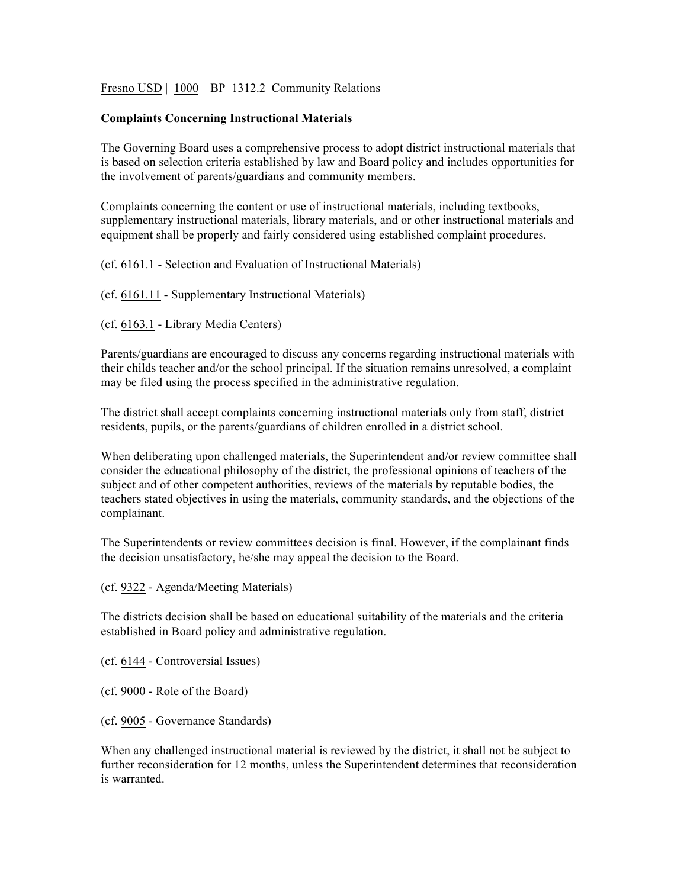Fresno USD | 1000 | BP 1312.2 Community Relations

#### **Complaints Concerning Instructional Materials**

The Governing Board uses a comprehensive process to adopt district instructional materials that is based on selection criteria established by law and Board policy and includes opportunities for the involvement of parents/guardians and community members.

Complaints concerning the content or use of instructional materials, including textbooks, supplementary instructional materials, library materials, and or other instructional materials and equipment shall be properly and fairly considered using established complaint procedures.

(cf. 6161.1 - Selection and Evaluation of Instructional Materials)

(cf. 6161.11 - Supplementary Instructional Materials)

(cf. 6163.1 - Library Media Centers)

Parents/guardians are encouraged to discuss any concerns regarding instructional materials with their childs teacher and/or the school principal. If the situation remains unresolved, a complaint may be filed using the process specified in the administrative regulation.

The district shall accept complaints concerning instructional materials only from staff, district residents, pupils, or the parents/guardians of children enrolled in a district school.

When deliberating upon challenged materials, the Superintendent and/or review committee shall consider the educational philosophy of the district, the professional opinions of teachers of the subject and of other competent authorities, reviews of the materials by reputable bodies, the teachers stated objectives in using the materials, community standards, and the objections of the complainant.

The Superintendents or review committees decision is final. However, if the complainant finds the decision unsatisfactory, he/she may appeal the decision to the Board.

(cf. 9322 - Agenda/Meeting Materials)

The districts decision shall be based on educational suitability of the materials and the criteria established in Board policy and administrative regulation.

(cf. 6144 - Controversial Issues)

- (cf. 9000 Role of the Board)
- (cf. 9005 Governance Standards)

When any challenged instructional material is reviewed by the district, it shall not be subject to further reconsideration for 12 months, unless the Superintendent determines that reconsideration is warranted.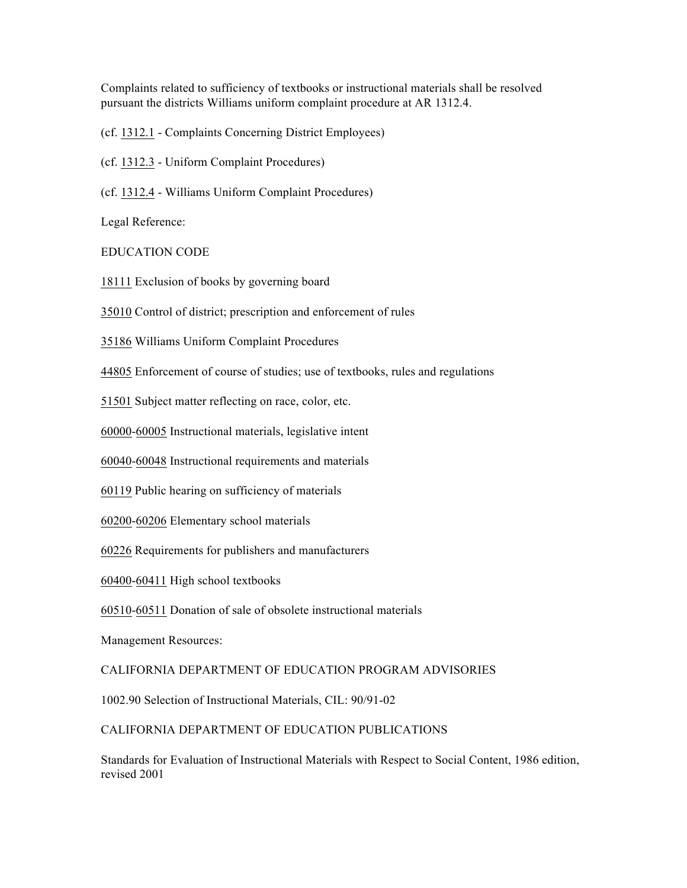Complaints related to sufficiency of textbooks or instructional materials shall be resolved pursuant the districts Williams uniform complaint procedure at AR 1312.4.

(cf. 1312.1 - Complaints Concerning District Employees)

(cf. 1312.3 - Uniform Complaint Procedures)

(cf. 1312.4 - Williams Uniform Complaint Procedures)

Legal Reference:

### EDUCATION CODE

18111 Exclusion of books by governing board

35010 Control of district; prescription and enforcement of rules

35186 Williams Uniform Complaint Procedures

44805 Enforcement of course of studies; use of textbooks, rules and regulations

51501 Subject matter reflecting on race, color, etc.

60000-60005 Instructional materials, legislative intent

60040-60048 Instructional requirements and materials

60119 Public hearing on sufficiency of materials

60200-60206 Elementary school materials

60226 Requirements for publishers and manufacturers

60400-60411 High school textbooks

60510-60511 Donation of sale of obsolete instructional materials

Management Resources:

### CALIFORNIA DEPARTMENT OF EDUCATION PROGRAM ADVISORIES

1002.90 Selection of Instructional Materials, CIL: 90/91-02

## CALIFORNIA DEPARTMENT OF EDUCATION PUBLICATIONS

Standards for Evaluation of Instructional Materials with Respect to Social Content, 1986 edition, revised 2001